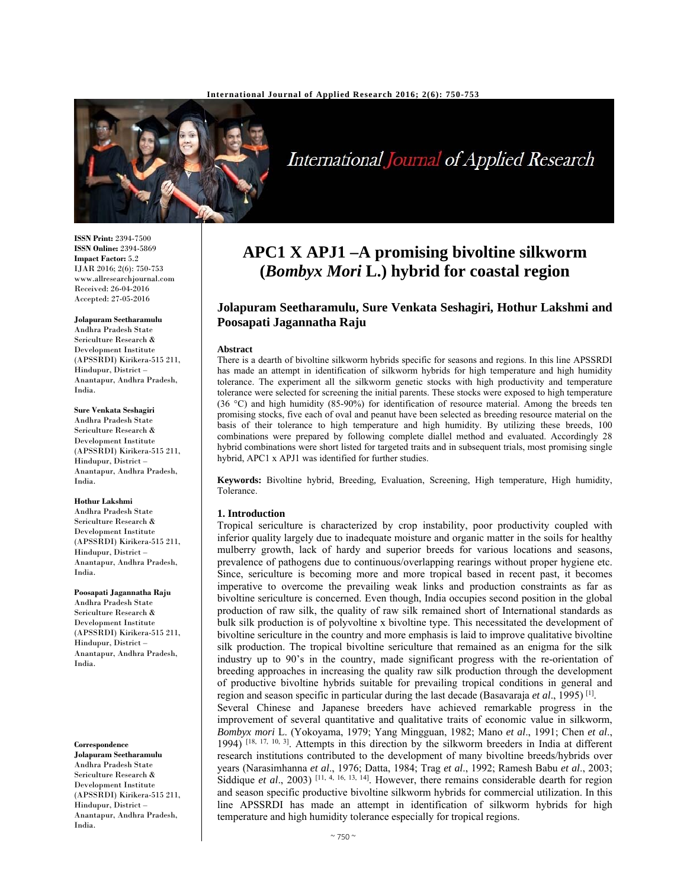

International Journal of Applied Research

**ISSN Print:** 2394-7500 **ISSN Online:** 2394-5869 **Impact Factor:** 5.2 IJAR 2016; 2(6): 750-753 www.allresearchjournal.com Received: 26-04-2016 Accepted: 27-05-2016

**Jolapuram Seetharamulu**  Andhra Pradesh State Sericulture Research & Development Institute (APSSRDI) Kirikera-515 211, Hindupur, District – Anantapur, Andhra Pradesh, India.

**Sure Venkata Seshagiri** 

Andhra Pradesh State Sericulture Research & Development Institute (APSSRDI) Kirikera-515 211, Hindupur, District – Anantapur, Andhra Pradesh, India.

#### **Hothur Lakshmi**

Andhra Pradesh State Sericulture Research & Development Institute (APSSRDI) Kirikera-515 211, Hindupur, District – Anantapur, Andhra Pradesh, India.

### **Poosapati Jagannatha Raju**

Andhra Pradesh State Sericulture Research & Development Institute (APSSRDI) Kirikera-515 211, Hindupur, District – Anantapur, Andhra Pradesh, India.

#### **Correspondence**

**Jolapuram Seetharamulu**  Andhra Pradesh State Sericulture Research & Development Institute (APSSRDI) Kirikera-515 211, Hindupur, District – Anantapur, Andhra Pradesh, India.

# **APC1 X APJ1 –A promising bivoltine silkworm (***Bombyx Mori* **L.) hybrid for coastal region**

# **Jolapuram Seetharamulu, Sure Venkata Seshagiri, Hothur Lakshmi and Poosapati Jagannatha Raju**

#### **Abstract**

There is a dearth of bivoltine silkworm hybrids specific for seasons and regions. In this line APSSRDI has made an attempt in identification of silkworm hybrids for high temperature and high humidity tolerance. The experiment all the silkworm genetic stocks with high productivity and temperature tolerance were selected for screening the initial parents. These stocks were exposed to high temperature (36 °C) and high humidity (85-90%) for identification of resource material. Among the breeds ten promising stocks, five each of oval and peanut have been selected as breeding resource material on the basis of their tolerance to high temperature and high humidity. By utilizing these breeds, 100 combinations were prepared by following complete diallel method and evaluated. Accordingly 28 hybrid combinations were short listed for targeted traits and in subsequent trials, most promising single hybrid, APC1 x APJ1 was identified for further studies.

**Keywords:** Bivoltine hybrid, Breeding*,* Evaluation, Screening, High temperature, High humidity, Tolerance.

#### **1. Introduction**

Tropical sericulture is characterized by crop instability, poor productivity coupled with inferior quality largely due to inadequate moisture and organic matter in the soils for healthy mulberry growth, lack of hardy and superior breeds for various locations and seasons, prevalence of pathogens due to continuous/overlapping rearings without proper hygiene etc. Since, sericulture is becoming more and more tropical based in recent past, it becomes imperative to overcome the prevailing weak links and production constraints as far as bivoltine sericulture is concerned. Even though, India occupies second position in the global production of raw silk, the quality of raw silk remained short of International standards as bulk silk production is of polyvoltine x bivoltine type. This necessitated the development of bivoltine sericulture in the country and more emphasis is laid to improve qualitative bivoltine silk production. The tropical bivoltine sericulture that remained as an enigma for the silk industry up to 90's in the country, made significant progress with the re-orientation of breeding approaches in increasing the quality raw silk production through the development of productive bivoltine hybrids suitable for prevailing tropical conditions in general and region and season specific in particular during the last decade (Basavaraja *et al*., 1995) [1]. Several Chinese and Japanese breeders have achieved remarkable progress in the improvement of several quantitative and qualitative traits of economic value in silkworm, *Bombyx mori* L. (Yokoyama, 1979; Yang Mingguan, 1982; Mano *et al*., 1991; Chen *et al*., 1994) [18, 17, 10, 3]. Attempts in this direction by the silkworm breeders in India at different research institutions contributed to the development of many bivoltine breeds/hybrids over

years (Narasimhanna *et al*., 1976; Datta, 1984; Trag *et al*., 1992; Ramesh Babu *et al*., 2003; Siddique *et al.*, 2003)<sup>[11, 4, 16, 13, 14]. However, there remains considerable dearth for region</sup> and season specific productive bivoltine silkworm hybrids for commercial utilization. In this line APSSRDI has made an attempt in identification of silkworm hybrids for high temperature and high humidity tolerance especially for tropical regions.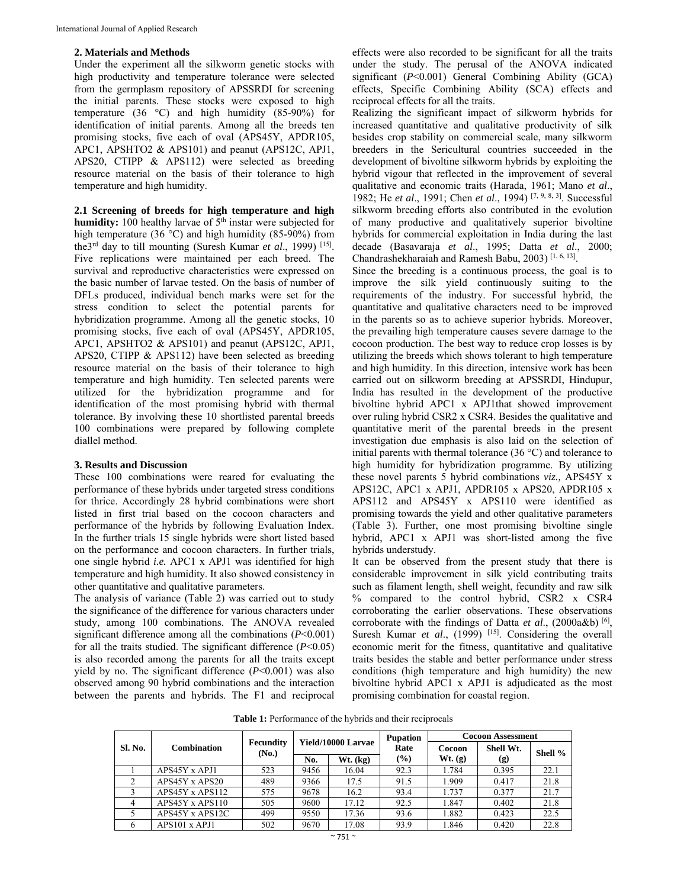# **2. Materials and Methods**

Under the experiment all the silkworm genetic stocks with high productivity and temperature tolerance were selected from the germplasm repository of APSSRDI for screening the initial parents. These stocks were exposed to high temperature (36 °C) and high humidity (85-90%) for identification of initial parents. Among all the breeds ten promising stocks, five each of oval (APS45Y, APDR105, APC1, APSHTO2 & APS101) and peanut (APS12C, APJ1, APS20, CTIPP & APS112) were selected as breeding resource material on the basis of their tolerance to high temperature and high humidity.

**2.1 Screening of breeds for high temperature and high humidity:** 100 healthy larvae of 5<sup>th</sup> instar were subjected for high temperature (36 $\degree$ C) and high humidity (85-90%) from the3rd day to till mounting (Suresh Kumar *et al*., 1999) [15]. Five replications were maintained per each breed. The survival and reproductive characteristics were expressed on the basic number of larvae tested. On the basis of number of DFLs produced, individual bench marks were set for the stress condition to select the potential parents for hybridization programme. Among all the genetic stocks, 10 promising stocks, five each of oval (APS45Y, APDR105, APC1, APSHTO2 & APS101) and peanut (APS12C, APJ1, APS20, CTIPP & APS112) have been selected as breeding resource material on the basis of their tolerance to high temperature and high humidity. Ten selected parents were utilized for the hybridization programme and for identification of the most promising hybrid with thermal tolerance. By involving these 10 shortlisted parental breeds 100 combinations were prepared by following complete diallel method.

# **3. Results and Discussion**

These 100 combinations were reared for evaluating the performance of these hybrids under targeted stress conditions for thrice. Accordingly 28 hybrid combinations were short listed in first trial based on the cocoon characters and performance of the hybrids by following Evaluation Index. In the further trials 15 single hybrids were short listed based on the performance and cocoon characters. In further trials, one single hybrid *i.e.* APC1 x APJ1 was identified for high temperature and high humidity. It also showed consistency in other quantitative and qualitative parameters.

The analysis of variance (Table 2) was carried out to study the significance of the difference for various characters under study, among 100 combinations. The ANOVA revealed significant difference among all the combinations (*P*<0.001) for all the traits studied. The significant difference (*P*<0.05) is also recorded among the parents for all the traits except yield by no. The significant difference (*P*<0.001) was also observed among 90 hybrid combinations and the interaction between the parents and hybrids. The F1 and reciprocal

effects were also recorded to be significant for all the traits under the study. The perusal of the ANOVA indicated significant (*P*<0.001) General Combining Ability (GCA) effects, Specific Combining Ability (SCA) effects and reciprocal effects for all the traits.

Realizing the significant impact of silkworm hybrids for increased quantitative and qualitative productivity of silk besides crop stability on commercial scale, many silkworm breeders in the Sericultural countries succeeded in the development of bivoltine silkworm hybrids by exploiting the hybrid vigour that reflected in the improvement of several qualitative and economic traits (Harada, 1961; Mano *et al*., 1982; He *et al*., 1991; Chen *et al*., 1994) [7, 9, 8, 3]. Successful silkworm breeding efforts also contributed in the evolution of many productive and qualitatively superior bivoltine hybrids for commercial exploitation in India during the last decade (Basavaraja *et al*., 1995; Datta *et al*., 2000; Chandrashekharaiah and Ramesh Babu, 2003) [1, 6, 13].

Since the breeding is a continuous process, the goal is to improve the silk yield continuously suiting to the requirements of the industry. For successful hybrid, the quantitative and qualitative characters need to be improved in the parents so as to achieve superior hybrids. Moreover, the prevailing high temperature causes severe damage to the cocoon production. The best way to reduce crop losses is by utilizing the breeds which shows tolerant to high temperature and high humidity. In this direction, intensive work has been carried out on silkworm breeding at APSSRDI, Hindupur, India has resulted in the development of the productive bivoltine hybrid APC1 x APJ1that showed improvement over ruling hybrid CSR2 x CSR4. Besides the qualitative and quantitative merit of the parental breeds in the present investigation due emphasis is also laid on the selection of initial parents with thermal tolerance  $(36 \degree C)$  and tolerance to high humidity for hybridization programme. By utilizing these novel parents 5 hybrid combinations *viz.,* APS45Y x APS12C, APC1 x APJ1, APDR105 x APS20, APDR105 x APS112 and APS45Y x APS110 were identified as promising towards the yield and other qualitative parameters (Table 3). Further, one most promising bivoltine single hybrid, APC1 x APJ1 was short-listed among the five hybrids understudy.

It can be observed from the present study that there is considerable improvement in silk yield contributing traits such as filament length, shell weight, fecundity and raw silk % compared to the control hybrid, CSR2 x CSR4 corroborating the earlier observations. These observations corroborate with the findings of Datta *et al*., (2000a&b) [6], Suresh Kumar *et al.*, (1999) <sup>[15]</sup>. Considering the overall economic merit for the fitness, quantitative and qualitative traits besides the stable and better performance under stress conditions (high temperature and high humidity) the new bivoltine hybrid APC1 x APJ1 is adjudicated as the most promising combination for coastal region.

**Table 1:** Performance of the hybrids and their reciprocals

| Sl. No. | <b>Combination</b> | <b>Fecundity</b><br>(No.) |      |                    | <b>Pupation</b> | <b>Cocoon Assessment</b> |           |         |  |
|---------|--------------------|---------------------------|------|--------------------|-----------------|--------------------------|-----------|---------|--|
|         |                    |                           |      | Yield/10000 Larvae | Rate            | Cocoon                   | Shell Wt. | Shell % |  |
|         |                    |                           | No.  | $Wt.$ (kg)         | (%)             | Wt. (g)                  | (g)       |         |  |
|         | APS45Y x APJ1      | 523                       | 9456 | 16.04              | 92.3            | 1.784                    | 0.395     | 22.1    |  |
|         | APS45Y x APS20     | 489                       | 9366 | 17.5               | 91.5            | 1.909                    | 0.417     | 21.8    |  |
|         | APS45Y x APS112    | 575                       | 9678 | 16.2               | 93.4            | 1.737                    | 0.377     | 21.7    |  |
|         | APS45Y x APS110    | 505                       | 9600 | 17.12              | 92.5            | 1.847                    | 0.402     | 21.8    |  |
|         | APS45Y x APS12C    | 499                       | 9550 | 17.36              | 93.6            | 1.882                    | 0.423     | 22.5    |  |
| 6       | APS101 x APJ1      | 502                       | 9670 | 17.08              | 93.9            | 1.846                    | 0.420     | 22.8    |  |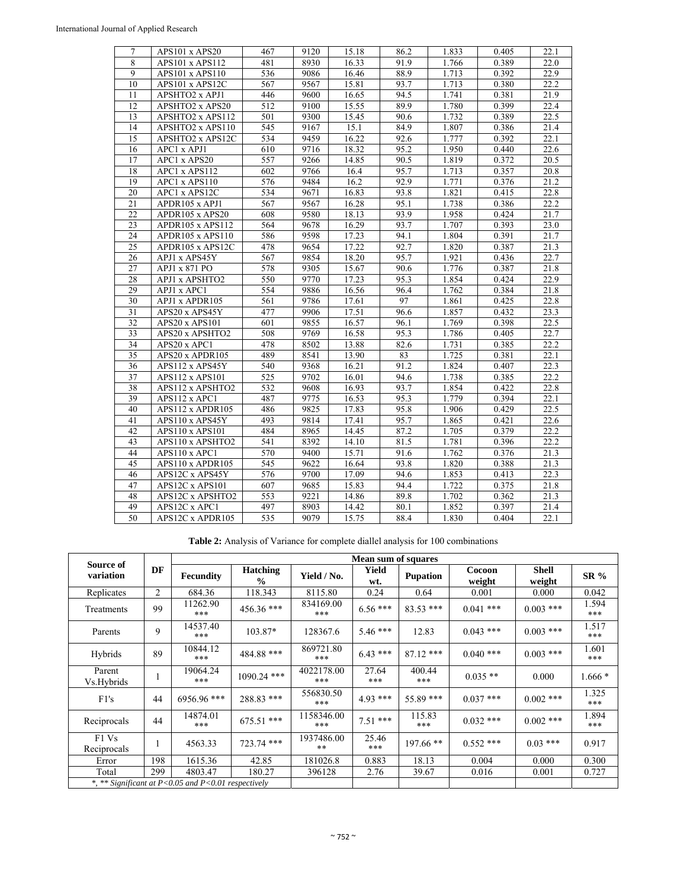| 7               | APS101 x APS20            | 467 | 9120 | 15.18 | 86.2 | 1.833 | 0.405 | 22.1 |
|-----------------|---------------------------|-----|------|-------|------|-------|-------|------|
| 8               | APS101 x APS112           | 481 | 8930 | 16.33 | 91.9 | 1.766 | 0.389 | 22.0 |
| 9               | APS101 x APS110           | 536 | 9086 | 16.46 | 88.9 | 1.713 | 0.392 | 22.9 |
| 10              | APS101 x APS12C           | 567 | 9567 | 15.81 | 93.7 | 1.713 | 0.380 | 22.2 |
| 11              | APSHTO2 x APJ1            | 446 | 9600 | 16.65 | 94.5 | 1.741 | 0.381 | 21.9 |
| 12              | APSHTO2 x APS20           | 512 | 9100 | 15.55 | 89.9 | 1.780 | 0.399 | 22.4 |
| 13              | APSHTO2 x APS112          | 501 | 9300 | 15.45 | 90.6 | 1.732 | 0.389 | 22.5 |
| 14              | APSHTO2 x APS110          | 545 | 9167 | 15.1  | 84.9 | 1.807 | 0.386 | 21.4 |
| 15              | APSHTO2 x APS12C          | 534 | 9459 | 16.22 | 92.6 | 1.777 | 0.392 | 22.1 |
| 16              | APC1 x APJ1               | 610 | 9716 | 18.32 | 95.2 | 1.950 | 0.440 | 22.6 |
| 17              | APC1 x APS20              | 557 | 9266 | 14.85 | 90.5 | 1.819 | 0.372 | 20.5 |
| 18              | APC1 x APS112             | 602 | 9766 | 16.4  | 95.7 | 1.713 | 0.357 | 20.8 |
| 19              | APC1 x APS110             | 576 | 9484 | 16.2  | 92.9 | 1.771 | 0.376 | 21.2 |
| 20              | APC1 x APS12C             | 534 | 9671 | 16.83 | 93.8 | 1.821 | 0.415 | 22.8 |
| 21              | APDR105 x APJ1            | 567 | 9567 | 16.28 | 95.1 | 1.738 | 0.386 | 22.2 |
| 22              | APDR105 x APS20           | 608 | 9580 | 18.13 | 93.9 | 1.958 | 0.424 | 21.7 |
| 23              | APDR105 x APS112          | 564 | 9678 | 16.29 | 93.7 | 1.707 | 0.393 | 23.0 |
| 24              | APDR105 x APS110          | 586 | 9598 | 17.23 | 94.1 | 1.804 | 0.391 | 21.7 |
| 25              | APDR105 x APS12C          | 478 | 9654 | 17.22 | 92.7 | 1.820 | 0.387 | 21.3 |
| 26              | APJ1 x APS45Y             | 567 | 9854 | 18.20 | 95.7 | 1.921 | 0.436 | 22.7 |
| 27              | APJ1 x 871 PO             | 578 | 9305 | 15.67 | 90.6 | 1.776 | 0.387 | 21.8 |
| 28              | APJ1 x APSHTO2            | 550 | 9770 | 17.23 | 95.3 | 1.854 | 0.424 | 22.9 |
| 29              | APJ1 x APC1               | 554 | 9886 | 16.56 | 96.4 | 1.762 | 0.384 | 21.8 |
| $\overline{30}$ | APJ1 x APDR105            | 561 | 9786 | 17.61 | 97   | 1.861 | 0.425 | 22.8 |
| 31              | APS20 x APS45Y            | 477 | 9906 | 17.51 | 96.6 | 1.857 | 0.432 | 23.3 |
| 32              | APS20 x APS101            | 601 | 9855 | 16.57 | 96.1 | 1.769 | 0.398 | 22.5 |
| $\overline{33}$ | APS20 x APSHTO2           | 508 | 9769 | 16.58 | 95.3 | 1.786 | 0.405 | 22.7 |
| 34              | $\overline{APS20}$ x APC1 | 478 | 8502 | 13.88 | 82.6 | 1.731 | 0.385 | 22.2 |
| 35              | APS20 x APDR105           | 489 | 8541 | 13.90 | 83   | 1.725 | 0.381 | 22.1 |
| 36              | APS112 x APS45Y           | 540 | 9368 | 16.21 | 91.2 | 1.824 | 0.407 | 22.3 |
| $\overline{37}$ | APS112 x APS101           | 525 | 9702 | 16.01 | 94.6 | 1.738 | 0.385 | 22.2 |
| 38              | APS112 x APSHTO2          | 532 | 9608 | 16.93 | 93.7 | 1.854 | 0.422 | 22.8 |
| 39              | APS112 x APC1             | 487 | 9775 | 16.53 | 95.3 | 1.779 | 0.394 | 22.1 |
| 40              | APS112 x APDR105          | 486 | 9825 | 17.83 | 95.8 | 1.906 | 0.429 | 22.5 |
| 41              | APS110 x APS45Y           | 493 | 9814 | 17.41 | 95.7 | 1.865 | 0.421 | 22.6 |
| 42              | APS110 x APS101           | 484 | 8965 | 14.45 | 87.2 | 1.705 | 0.379 | 22.2 |
| 43              | APS110 x APSHTO2          | 541 | 8392 | 14.10 | 81.5 | 1.781 | 0.396 | 22.2 |
| 44              | APS110 x APC1             | 570 | 9400 | 15.71 | 91.6 | 1.762 | 0.376 | 21.3 |
| 45              | APS110 x APDR105          | 545 | 9622 | 16.64 | 93.8 | 1.820 | 0.388 | 21.3 |
| 46              | APS12C x APS45Y           | 576 | 9700 | 17.09 | 94.6 | 1.853 | 0.413 | 22.3 |
| 47              | APS12C x APS101           | 607 | 9685 | 15.83 | 94.4 | 1.722 | 0.375 | 21.8 |
| 48              | APS12C x APSHTO2          | 553 | 9221 | 14.86 | 89.8 | 1.702 | 0.362 | 21.3 |
| 49              | APS12C x APC1             | 497 | 8903 | 14.42 | 80.1 | 1.852 | 0.397 | 21.4 |
| 50              | APS12C x APDR105          | 535 | 9079 | 15.75 | 88.4 | 1.830 | 0.404 | 22.1 |

**Table 2:** Analysis of Variance for complete diallel analysis for 100 combinations

|                                                             |                | Mean sum of squares |                                  |                   |              |                 |                  |                        |              |  |
|-------------------------------------------------------------|----------------|---------------------|----------------------------------|-------------------|--------------|-----------------|------------------|------------------------|--------------|--|
| Source of<br>variation                                      | DF             | Fecundity           | <b>Hatching</b><br>$\frac{0}{0}$ | Yield / No.       | Yield<br>wt. | <b>Pupation</b> | Cocoon<br>weight | <b>Shell</b><br>weight | <b>SR %</b>  |  |
| Replicates                                                  | $\overline{c}$ | 684.36              | 118.343                          | 8115.80           | 0.24         | 0.64            | 0.001            | 0.000                  | 0.042        |  |
| Treatments                                                  | 99             | 11262.90<br>***     | 456.36 ***                       | 834169.00<br>***  | $6.56***$    | $83.53$ ***     | $0.041$ ***      | $0.003$ ***            | 1.594<br>*** |  |
| Parents                                                     | 9              | 14537.40<br>***     | 103.87*                          | 128367.6          | $5.46***$    | 12.83           | $0.043$ ***      | $0.003$ ***            | 1.517<br>*** |  |
| Hybrids                                                     | 89             | 10844.12<br>***     | 484.88 ***                       | 869721.80<br>***  | $6.43***$    | $87.12$ ***     | $0.040$ ***      | $0.003$ ***            | 1.601<br>*** |  |
| Parent<br>Vs.Hybrids                                        | 1              | 19064.24<br>***     | 1090.24 ***                      | 4022178.00<br>*** | 27.64<br>*** | 400.44<br>***   | $0.035**$        | 0.000                  | $1.666*$     |  |
| F1's                                                        | 44             | 6956.96 ***         | 288.83 ***                       | 556830.50<br>***  | $4.93***$    | 55.89 ***       | $0.037$ ***      | $0.002$ ***            | 1.325<br>*** |  |
| Reciprocals                                                 | 44             | 14874.01<br>***     | $675.51$ ***                     | 1158346.00<br>*** | $7.51***$    | 115.83<br>***   | $0.032$ ***      | $0.002$ ***            | 1.894<br>*** |  |
| F1 Vs<br>Reciprocals                                        | 1              | 4563.33             | 723.74 ***                       | 1937486.00<br>**  | 25.46<br>*** | $197.66$ **     | $0.552$ ***      | $0.03$ ***             | 0.917        |  |
| Error                                                       | 198            | 1615.36             | 42.85                            | 181026.8          | 0.883        | 18.13           | 0.004            | 0.000                  | 0.300        |  |
| Total                                                       | 299            | 4803.47             | 180.27                           | 396128            | 2.76         | 39.67           | 0.016            | 0.001                  | 0.727        |  |
| *, ** Significant at $P < 0.05$ and $P < 0.01$ respectively |                |                     |                                  |                   |              |                 |                  |                        |              |  |